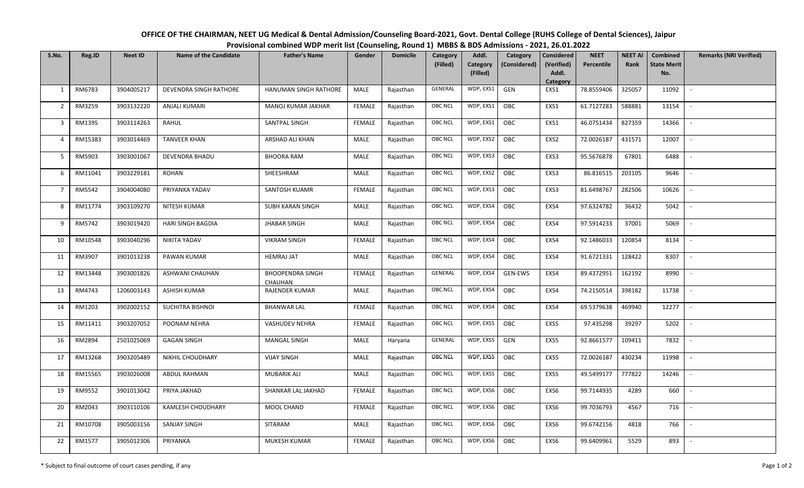| OFFICE OF THE CHAIRMAN, NEET UG Medical & Dental Admission/Counseling Board-2021, Govt. Dental College (RUHS College of Dental Sciences), Jaipur |
|--------------------------------------------------------------------------------------------------------------------------------------------------|
| Provisional combined WDP merit list (Counseling, Round 1) MBBS & BDS Admissions - 2021, 26.01.2022                                               |

| S.No.          | Reg.ID  | <b>Neet ID</b> | <b>Name of the Candidate</b> | <b>Father's Name</b>                      | Gender        | <b>Domicile</b> | <b>Category</b> | Addl.                | Category       | <b>Considered</b>   | <b>NEET</b> | <b>NEET AI</b> | Combined                  | <b>Remarks (NRI Verified)</b> |
|----------------|---------|----------------|------------------------------|-------------------------------------------|---------------|-----------------|-----------------|----------------------|----------------|---------------------|-------------|----------------|---------------------------|-------------------------------|
|                |         |                |                              |                                           |               |                 | (Filled)        | Category<br>(Filled) | (Considered)   | (Verified)<br>Addl. | Percentile  | Rank           | <b>State Merit</b><br>No. |                               |
|                |         |                |                              |                                           |               |                 |                 |                      |                | Category            |             |                |                           |                               |
| $\mathbf{1}$   | RM6783  | 3904005217     | DEVENDRA SINGH RATHORE       | HANUMAN SINGH RATHORE                     | MALE          | Rajasthan       | GENERAL         | WDP, EXS1            | GEN            | EXS1                | 78.8559406  | 325057         | 11092                     | $\overline{\phantom{a}}$      |
| $\overline{2}$ | RM3259  | 3903132220     | <b>ANJALI KUMARI</b>         | MANOJ KUMAR JAKHAR                        | <b>FEMALE</b> | Rajasthan       | <b>OBC NCL</b>  | WDP, EXS1            | OBC            | EXS1                | 61.7127283  | 588881         | 13154                     |                               |
| $\overline{3}$ | RM1395  | 3903114263     | <b>RAHUL</b>                 | SANTPAL SINGH                             | <b>FEMALE</b> | Rajasthan       | <b>OBC NCL</b>  | WDP, EXS1            | <b>OBC</b>     | EXS1                | 46.0751434  | 827359         | 14366                     | $\sim$                        |
| $\overline{4}$ | RM15383 | 3903014469     | <b>TANVEER KHAN</b>          | ARSHAD ALI KHAN                           | MALE          | Rajasthan       | <b>OBC NCL</b>  | WDP, EXS2            | OBC            | EXS2                | 72.0026187  | 431571         | 12007                     | $\sim$                        |
| 5 <sup>5</sup> | RM5903  | 3903001067     | <b>DEVENDRA BHADU</b>        | <b>BHOORA RAM</b>                         | MALE          | Rajasthan       | <b>OBC NCL</b>  | WDP, EXS3            | OBC            | EXS3                | 95.5676878  | 67801          | 6488                      | $\overline{\phantom{a}}$      |
| 6              | RM11041 | 3903229181     | <b>ROHAN</b>                 | SHEESHRAM                                 | MALE          | Rajasthan       | <b>OBC NCL</b>  | WDP, EXS2            | OBC            | EXS3                | 86.816515   | 203105         | 9646                      |                               |
| $\overline{7}$ | RM5542  | 3904004080     | PRIYANKA YADAV               | SANTOSH KUAMR                             | <b>FEMALE</b> | Rajasthan       | <b>OBC NCL</b>  | WDP, EXS3            | <b>OBC</b>     | EXS3                | 81.6498767  | 282506         | 10626                     | $\overline{\phantom{a}}$      |
| 8              | RM11774 | 3903109270     | NITESH KUMAR                 | SUBH KARAN SINGH                          | MALE          | Rajasthan       | <b>OBC NCL</b>  | WDP, EXS4            | OBC            | EXS4                | 97.6324782  | 36432          | 5042                      | $\sim$                        |
| 9              | RM5742  | 3903019420     | <b>HARI SINGH BAGDIA</b>     | <b>JHABAR SINGH</b>                       | MALE          | Rajasthan       | <b>OBC NCL</b>  | WDP, EXS4            | OBC            | EXS4                | 97.5914233  | 37001          | 5069                      | $\overline{\phantom{a}}$      |
| 10             | RM10548 | 3903040296     | NIKITA YADAV                 | <b>VIKRAM SINGH</b>                       | <b>FEMALE</b> | Rajasthan       | OBC NCL         | WDP, EXS4            | OBC            | EXS4                | 92.1486033  | 120854         | 8134                      |                               |
| 11             | RM3907  | 3901013238     | PAWAN KUMAR                  | <b>HEMRAJ JAT</b>                         | MALE          | Rajasthan       | <b>OBC NCL</b>  | WDP, EXS4            | OBC            | EXS4                | 91.6721331  | 128422         | 8307                      |                               |
| 12             | RM13448 | 3903001826     | ASHWANI CHAUHAN              | <b>BHOOPENDRA SINGH</b><br><b>CHAUHAN</b> | <b>FEMALE</b> | Rajasthan       | GENERAL         | WDP, EXS4            | <b>GEN-EWS</b> | EXS4                | 89.4372951  | 162192         | 8990                      | $\sim$                        |
| 13             | RM4743  | 1206003143     | <b>ASHISH KUMAR</b>          | <b>RAJENDER KUMAR</b>                     | MALE          | Rajasthan       | OBC NCL         | WDP, EXS4            | OBC            | EXS4                | 74.2150514  | 398182         | 11738                     | $\sim$                        |
| 14             | RM1203  | 3902002152     | SUCHITRA BISHNOI             | <b>BHANWAR LAL</b>                        | <b>FEMALE</b> | Rajasthan       | <b>OBC NCL</b>  | WDP, EXS4            | OBC            | EXS4                | 69.5379638  | 469940         | 12277                     | $\overline{\phantom{a}}$      |
| 15             | RM11411 | 3903207052     | POONAM NEHRA                 | <b>VASHUDEV NEHRA</b>                     | <b>FEMALE</b> | Rajasthan       | <b>OBC NCL</b>  | WDP, EXS5            | OBC            | EXS5                | 97.435298   | 39297          | 5202                      |                               |
| 16             | RM2894  | 2501025069     | <b>GAGAN SINGH</b>           | <b>MANGAL SINGH</b>                       | MALE          | Haryana         | GENERAL         | WDP, EXS5            | GEN            | EXS5                | 92.8661577  | 109411         | 7832                      | $\overline{\phantom{a}}$      |
| 17             | RM13268 | 3903205489     | NIKHIL CHOUDHARY             | <b>VIJAY SINGH</b>                        | MALE          | Rajasthan       | <b>OBC NCL</b>  | WDP, EXS5            | <b>OBC</b>     | EXS5                | 72.0026187  | 430234         | 11998                     | $\sim$                        |
| 18             | RM15565 | 3903026008     | <b>ABDUL RAHMAN</b>          | <b>MUBARIK ALI</b>                        | MALE          | Rajasthan       | <b>OBC NCL</b>  | WDP, EXS5            | OBC            | EXS5                | 49.5499177  | 777822         | 14246                     | $\sim$                        |
| 19             | RM9552  | 3901013042     | PRIYA JAKHAD                 | SHANKAR LAL JAKHAD                        | <b>FEMALE</b> | Rajasthan       | <b>OBC NCL</b>  | WDP, EXS6            | OBC            | EXS6                | 99.7144935  | 4289           | 660                       | $\overline{\phantom{a}}$      |
| 20             | RM2043  | 3903110106     | KAMLESH CHOUDHARY            | MOOL CHAND                                | <b>FEMALE</b> | Rajasthan       | OBC NCL         | WDP, EXS6            | OBC            | EXS6                | 99.7036793  | 4567           | 716                       |                               |
| 21             | RM10708 | 3905003156     | <b>SANJAY SINGH</b>          | SITARAM                                   | MALE          | Rajasthan       | <b>OBC NCL</b>  | WDP, EXS6            | OBC            | EXS6                | 99.6742156  | 4818           | 766                       |                               |
| 22             | RM1577  | 3905012306     | PRIYANKA                     | MUKESH KUMAR                              | <b>FEMALE</b> | Rajasthan       | OBC NCL         | WDP, EXS6            | OBC            | EXS6                | 99.6409961  | 5529           | 893                       |                               |